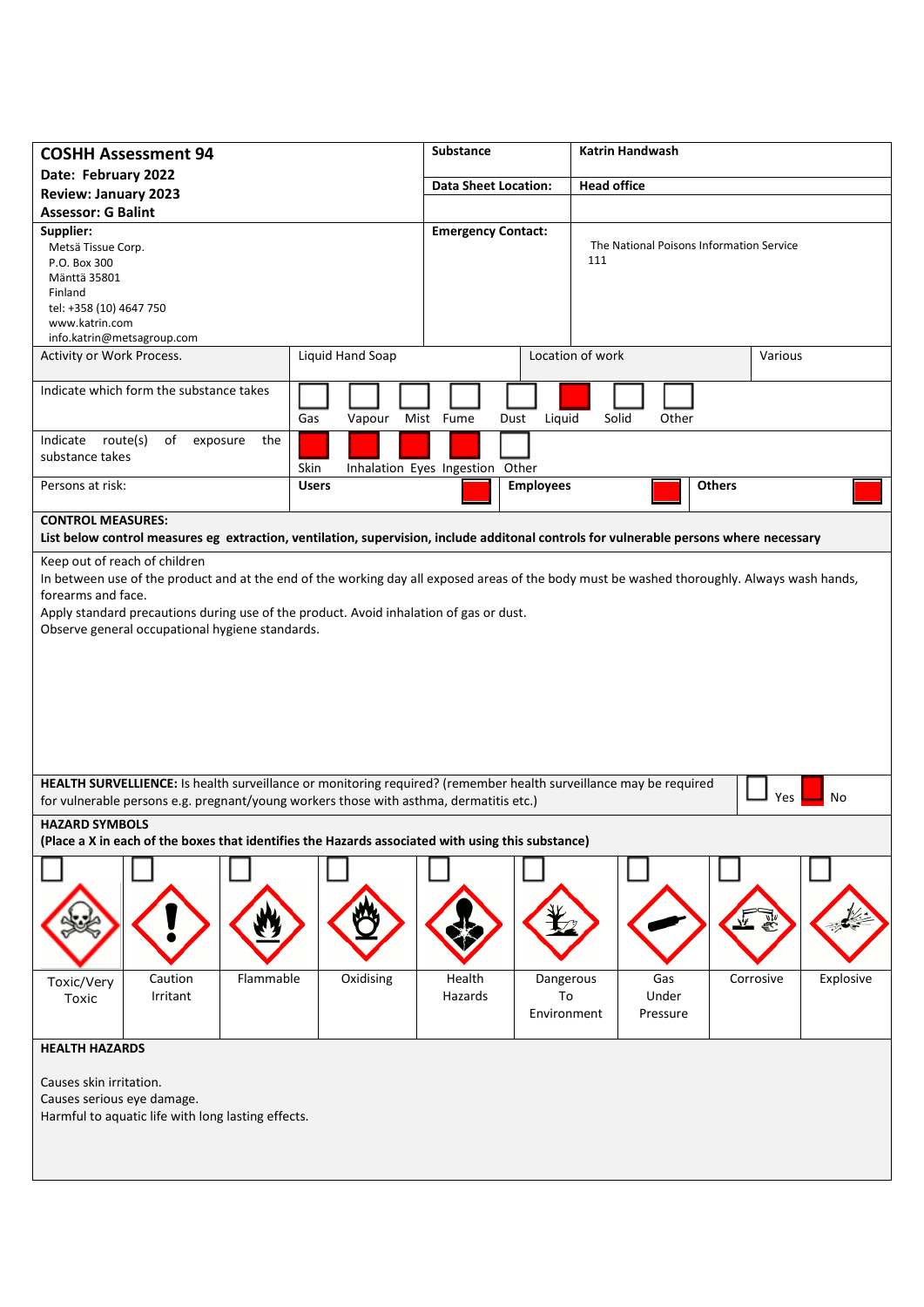| <b>COSHH Assessment 94</b>                                                                                                                                                                                                                                                                                     |                  | <b>Katrin Handwash</b><br><b>Substance</b>        |                                                            |                        |
|----------------------------------------------------------------------------------------------------------------------------------------------------------------------------------------------------------------------------------------------------------------------------------------------------------------|------------------|---------------------------------------------------|------------------------------------------------------------|------------------------|
| Date: February 2022                                                                                                                                                                                                                                                                                            |                  | <b>Head office</b><br><b>Data Sheet Location:</b> |                                                            |                        |
| <b>Review: January 2023</b>                                                                                                                                                                                                                                                                                    |                  |                                                   |                                                            |                        |
| <b>Assessor: G Balint</b>                                                                                                                                                                                                                                                                                      |                  |                                                   |                                                            |                        |
| Supplier:<br>Metsä Tissue Corp.<br>P.O. Box 300<br>Mänttä 35801<br>Finland<br>tel: +358 (10) 4647 750<br>www.katrin.com<br>info.katrin@metsagroup.com                                                                                                                                                          |                  | <b>Emergency Contact:</b>                         | The National Poisons Information Service<br>111            |                        |
| Activity or Work Process.                                                                                                                                                                                                                                                                                      | Liquid Hand Soap |                                                   | Location of work<br>Various                                |                        |
| Indicate which form the substance takes                                                                                                                                                                                                                                                                        | Gas<br>Vapour    | Mist Fume<br>Liquid<br>Dust                       | Solid<br>Other                                             |                        |
| route(s)<br>Indicate<br>of<br>exposure<br>the<br>substance takes                                                                                                                                                                                                                                               | Skin             | Inhalation Eyes Ingestion Other                   |                                                            |                        |
| Persons at risk:                                                                                                                                                                                                                                                                                               | <b>Users</b>     | <b>Employees</b>                                  | <b>Others</b>                                              |                        |
| <b>CONTROL MEASURES:</b><br>List below control measures eg extraction, ventilation, supervision, include additonal controls for vulnerable persons where necessary                                                                                                                                             |                  |                                                   |                                                            |                        |
| In between use of the product and at the end of the working day all exposed areas of the body must be washed thoroughly. Always wash hands,<br>forearms and face.<br>Apply standard precautions during use of the product. Avoid inhalation of gas or dust.<br>Observe general occupational hygiene standards. |                  |                                                   |                                                            |                        |
| HEALTH SURVELLIENCE: Is health surveillance or monitoring required? (remember health surveillance may be required<br>No<br>Yes<br>for vulnerable persons e.g. pregnant/young workers those with asthma, dermatitis etc.)                                                                                       |                  |                                                   |                                                            |                        |
| <b>HAZARD SYMBOLS</b><br>(Place a X in each of the boxes that identifies the Hazards associated with using this substance)                                                                                                                                                                                     |                  |                                                   |                                                            |                        |
| Caution<br>Flammable<br>Toxic/Very<br>Irritant<br>Toxic                                                                                                                                                                                                                                                        | Oxidising        | Health<br>Hazards                                 | Dangerous<br>Gas<br>Under<br>To<br>Environment<br>Pressure | Corrosive<br>Explosive |
| <b>HEALTH HAZARDS</b><br>Causes skin irritation.<br>Causes serious eye damage.<br>Harmful to aquatic life with long lasting effects.                                                                                                                                                                           |                  |                                                   |                                                            |                        |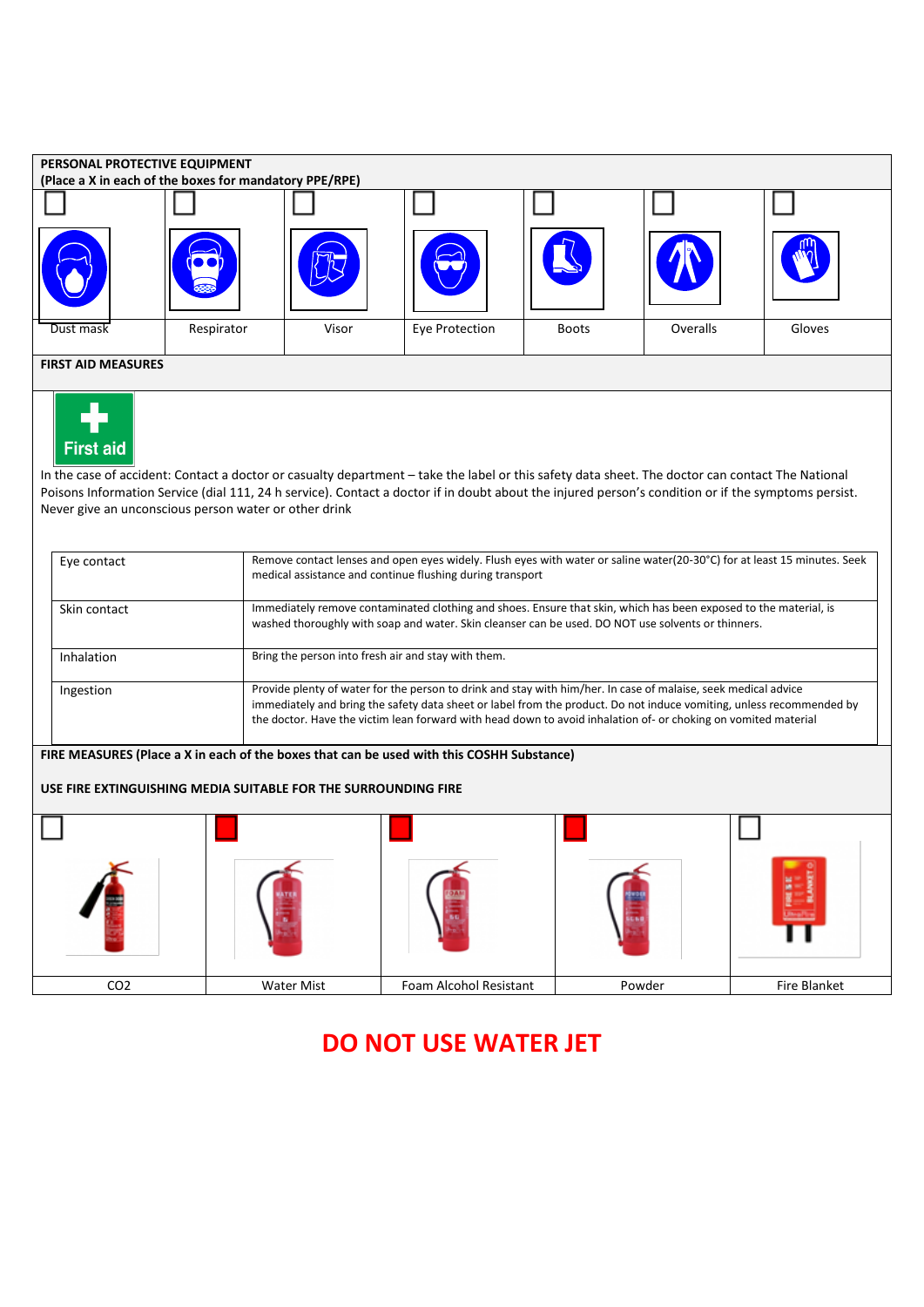

## **DO NOT USE WATER JET**